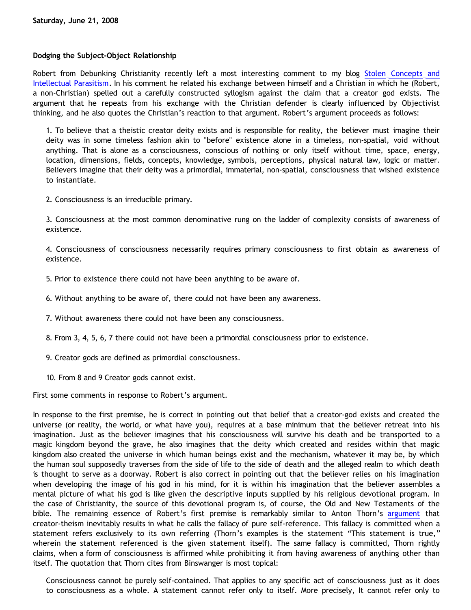## **Dodging the Subject-Object Relationship**

Robert from Debunking Christianity recently left a most interesting comment to my blog [Stolen Concepts and](http://bahnsenburner.blogspot.com/2008/06/stolen-concepts-and-intellectual.html) [Intellectual Parasitism.](http://bahnsenburner.blogspot.com/2008/06/stolen-concepts-and-intellectual.html) In his comment he related his exchange between himself and a Christian in which he (Robert, a non-Christian) spelled out a carefully constructed syllogism against the claim that a creator god exists. The argument that he repeats from his exchange with the Christian defender is clearly influenced by Objectivist thinking, and he also quotes the Christian's reaction to that argument. Robert's argument proceeds as follows:

1. To believe that a theistic creator deity exists and is responsible for reality, the believer must imagine their deity was in some timeless fashion akin to "before" existence alone in a timeless, non-spatial, void without anything. That is alone as a consciousness, conscious of nothing or only itself without time, space, energy, location, dimensions, fields, concepts, knowledge, symbols, perceptions, physical natural law, logic or matter. Believers imagine that their deity was a primordial, immaterial, non-spatial, consciousness that wished existence to instantiate.

2. Consciousness is an irreducible primary.

3. Consciousness at the most common denominative rung on the ladder of complexity consists of awareness of existence.

4. Consciousness of consciousness necessarily requires primary consciousness to first obtain as awareness of existence.

5. Prior to existence there could not have been anything to be aware of.

6. Without anything to be aware of, there could not have been any awareness.

7. Without awareness there could not have been any consciousness.

8. From 3, 4, 5, 6, 7 there could not have been a primordial consciousness prior to existence.

9. Creator gods are defined as primordial consciousness.

10. From 8 and 9 Creator gods cannot exist.

First some comments in response to Robert's argument.

In response to the first premise, he is correct in pointing out that belief that a creator-god exists and created the universe (or reality, the world, or what have you), requires at a base minimum that the believer retreat into his imagination. Just as the believer imagines that his consciousness will survive his death and be transported to a magic kingdom beyond the grave, he also imagines that the deity which created and resides within that magic kingdom also created the universe in which human beings exist and the mechanism, whatever it may be, by which the human soul supposedly traverses from the side of life to the side of death and the alleged realm to which death is thought to serve as a doorway. Robert is also correct in pointing out that the believer relies on his imagination when developing the image of his god in his mind, for it is within his imagination that the believer assembles a mental picture of what his god is like given the descriptive inputs supplied by his religious devotional program. In the case of Christianity, the source of this devotional program is, of course, the Old and New Testaments of the bible. The remaining essence of Robert's first premise is remarkably similar to Anton Thorn's [argument](http://www.geocities.com/Athens/Sparta/1019/LTYA/LTYA06.htm) that creator-theism inevitably results in what he calls the fallacy of pure self-reference. This fallacy is committed when a statement refers exclusively to its own referring (Thorn's examples is the statement "This statement is true," wherein the statement referenced is the given statement itself). The same fallacy is committed, Thorn rightly claims, when a form of consciousness is affirmed while prohibiting it from having awareness of anything other than itself. The quotation that Thorn cites from Binswanger is most topical:

Consciousness cannot be purely self-contained. That applies to any specific act of consciousness just as it does to consciousness as a whole. A statement cannot refer only to itself. More precisely, It cannot refer only to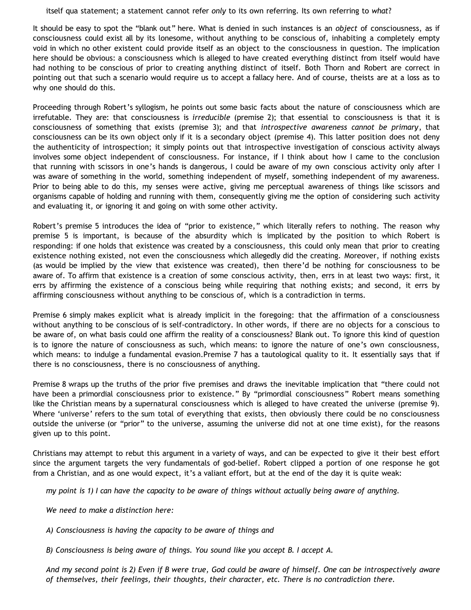itself qua statement; a statement cannot refer *only* to its own referring. Its own referring to *what*?

It should be easy to spot the "blank out" here. What is denied in such instances is an *object* of consciousness, as if consciousness could exist all by its lonesome, without anything to be conscious of, inhabiting a completely empty void in which no other existent could provide itself as an object to the consciousness in question. The implication here should be obvious: a consciousness which is alleged to have created everything distinct from itself would have had nothing to be conscious of prior to creating anything distinct of itself. Both Thorn and Robert are correct in pointing out that such a scenario would require us to accept a fallacy here. And of course, theists are at a loss as to why one should do this.

Proceeding through Robert's syllogism, he points out some basic facts about the nature of consciousness which are irrefutable. They are: that consciousness is *irreducible* (premise 2); that essential to consciousness is that it is consciousness of something that exists (premise 3); and that *introspective awareness cannot be primary*, that consciousness can be its own object only if it is a secondary object (premise 4). This latter position does not deny the authenticity of introspection; it simply points out that introspective investigation of conscious activity always involves some object independent of consciousness. For instance, if I think about how I came to the conclusion that running with scissors in one's hands is dangerous, I could be aware of my own conscious activity only after I was aware of something in the world, something independent of myself, something independent of my awareness. Prior to being able to do this, my senses were active, giving me perceptual awareness of things like scissors and organisms capable of holding and running with them, consequently giving me the option of considering such activity and evaluating it, or ignoring it and going on with some other activity.

Robert's premise 5 introduces the idea of "prior to existence," which literally refers to nothing. The reason why premise 5 is important, is because of the absurdity which is implicated by the position to which Robert is responding: if one holds that existence was created by a consciousness, this could only mean that prior to creating existence nothing existed, not even the consciousness which allegedly did the creating. Moreover, if nothing exists (as would be implied by the view that existence was created), then there'd be nothing for consciousness to be aware of. To affirm that existence is a creation of some conscious activity, then, errs in at least two ways: first, it errs by affirming the existence of a conscious being while requiring that nothing exists; and second, it errs by affirming consciousness without anything to be conscious of, which is a contradiction in terms.

Premise 6 simply makes explicit what is already implicit in the foregoing: that the affirmation of a consciousness without anything to be conscious of is self-contradictory. In other words, if there are no objects for a conscious to be aware of, on what basis could one affirm the reality of a consciousness? Blank out. To ignore this kind of question is to ignore the nature of consciousness as such, which means: to ignore the nature of one's own consciousness, which means: to indulge a fundamental evasion.Premise 7 has a tautological quality to it. It essentially says that if there is no consciousness, there is no consciousness of anything.

Premise 8 wraps up the truths of the prior five premises and draws the inevitable implication that "there could not have been a primordial consciousness prior to existence." By "primordial consciousness" Robert means something like the Christian means by a supernatural consciousness which is alleged to have created the universe (premise 9). Where 'universe' refers to the sum total of everything that exists, then obviously there could be no consciousness outside the universe (or "prior" to the universe, assuming the universe did not at one time exist), for the reasons given up to this point.

Christians may attempt to rebut this argument in a variety of ways, and can be expected to give it their best effort since the argument targets the very fundamentals of god-belief. Robert clipped a portion of one response he got from a Christian, and as one would expect, it's a valiant effort, but at the end of the day it is quite weak:

*my point is 1) I can have the capacity to be aware of things without actually being aware of anything.*

*We need to make a distinction here:*

*A) Consciousness is having the capacity to be aware of things and*

*B) Consciousness is being aware of things. You sound like you accept B. I accept A.*

*And my second point is 2) Even if B were true, God could be aware of himself. One can be introspectively aware of themselves, their feelings, their thoughts, their character, etc. There is no contradiction there.*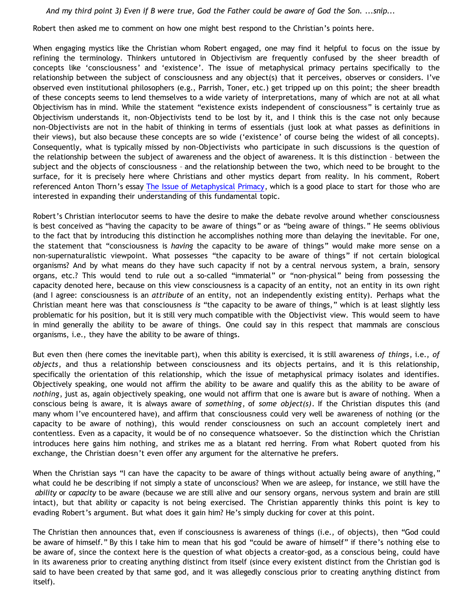*And my third point 3) Even if B were true, God the Father could be aware of God the Son. ...snip...*

Robert then asked me to comment on how one might best respond to the Christian's points here.

When engaging mystics like the Christian whom Robert engaged, one may find it helpful to focus on the issue by refining the terminology. Thinkers untutored in Objectivism are frequently confused by the sheer breadth of concepts like 'consciousness' and 'existence'. The issue of metaphysical primacy pertains specifically to the relationship between the subject of consciousness and any object(s) that it perceives, observes or considers. I've observed even institutional philosophers (e.g., Parrish, Toner, etc.) get tripped up on this point; the sheer breadth of these concepts seems to lend themselves to a wide variety of interpretations, many of which are not at all what Objectivism has in mind. While the statement "existence exists independent of consciousness" is certainly true as Objectivism understands it, non-Objectivists tend to be lost by it, and I think this is the case not only because non-Objectivists are not in the habit of thinking in terms of essentials (just look at what passes as definitions in their views), but also because these concepts are so wide ('existence' of course being the widest of all concepts). Consequently, what is typically missed by non-Objectivists who participate in such discussions is the question of the relationship between the subject of awareness and the object of awareness. It is this distinction – between the subject and the objects of consciousness – and the relationship between the two, which need to be brought to the surface, for it is precisely here where Christians and other mystics depart from reality. In his comment, Robert referenced Anton Thorn's essay [The Issue of Metaphysical Primacy](http://www.geocities.com/Athens/Sparta/1019/AFE/Metaphysical_Primacy.htm), which is a good place to start for those who are interested in expanding their understanding of this fundamental topic.

Robert's Christian interlocutor seems to have the desire to make the debate revolve around whether consciousness is best conceived as "having the capacity to be aware of things" or as "being aware of things." He seems oblivious to the fact that by introducing this distinction he accomplishes nothing more than delaying the inevitable. For one, the statement that "consciousness is *having* the capacity to be aware of things" would make more sense on a non-supernaturalistic viewpoint. What possesses "the capacity to be aware of things" if not certain biological organisms? And by what means do they have such capacity if not by a central nervous system, a brain, sensory organs, etc.? This would tend to rule out a so-called "immaterial" or "non-physical" being from possessing the capacity denoted here, because on this view consciousness is a capacity of an entity, not an entity in its own right (and I agree: consciousness is an *attribute* of an entity, not an independently existing entity). Perhaps what the Christian meant here was that consciousness *is* "the capacity to be aware of things," which is at least slightly less problematic for his position, but it is still very much compatible with the Objectivist view. This would seem to have in mind generally the ability to be aware of things. One could say in this respect that mammals are conscious organisms, i.e., they have the ability to be aware of things.

But even then (here comes the inevitable part), when this ability is exercised, it is still awareness *of things*, i.e., *of objects*, and thus a relationship between consciousness and its objects pertains, and it is this relationship, specifically the orientation of this relationship, which the issue of metaphysical primacy isolates and identifies. Objectively speaking, one would not affirm the ability to be aware and qualify this as the ability to be aware of *nothing*, just as, again objectively speaking, one would not affirm that one is aware but is aware of nothing. When a conscious being is aware, it is always aware of *something*, of *some object(s)*. If the Christian disputes this (and many whom I've encountered have), and affirm that consciousness could very well be awareness of nothing (or the capacity to be aware of nothing), this would render consciousness on such an account completely inert and contentless. Even as a capacity, it would be of no consequence whatsoever. So the distinction which the Christian introduces here gains him nothing, and strikes me as a blatant red herring. From what Robert quoted from his exchange, the Christian doesn't even offer any argument for the alternative he prefers.

When the Christian says "I can have the capacity to be aware of things without actually being aware of anything," what could he be describing if not simply a state of unconscious? When we are asleep, for instance, we still have the *ability* or *capacity* to be aware (because we are still alive and our sensory organs, nervous system and brain are still intact), but that ability or capacity is not being exercised. The Christian apparently thinks this point is key to evading Robert's argument. But what does it gain him? He's simply ducking for cover at this point.

The Christian then announces that, even if consciousness is awareness of things (i.e., of objects), then "God could be aware of himself." By this I take him to mean that his god "could be aware of himself" if there's nothing else to be aware of, since the context here is the question of what objects a creator-god, as a conscious being, could have in its awareness prior to creating anything distinct from itself (since every existent distinct from the Christian god is said to have been created by that same god, and it was allegedly conscious prior to creating anything distinct from itself).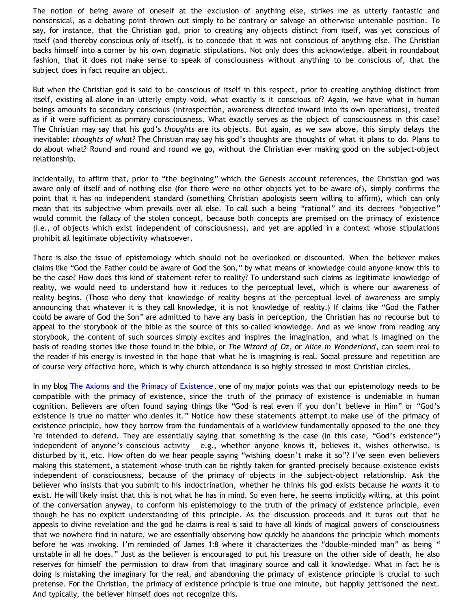The notion of being aware of oneself at the exclusion of anything else, strikes me as utterly fantastic and nonsensical, as a debating point thrown out simply to be contrary or salvage an otherwise untenable position. To say, for instance, that the Christian god, prior to creating any objects distinct from itself, was yet conscious of itself (and thereby conscious only of itself), is to concede that it was not conscious of anything else. The Christian backs himself into a corner by his own dogmatic stipulations. Not only does this acknowledge, albeit in roundabout fashion, that it does not make sense to speak of consciousness without anything to be conscious of, that the subject does in fact require an object.

But when the Christian god is said to be conscious of itself in this respect, prior to creating anything distinct from itself, existing all alone in an utterly empty void, what exactly is it conscious of? Again, we have what in human beings amounts to secondary conscious (introspection, awareness directed inward into its own operations), treated as if it were sufficient as primary consciousness. What exactly serves as the object of consciousness in this case? The Christian may say that his god's *thoughts* are its objects. But again, as we saw above, this simply delays the inevitable: *thoughts of what?* The Christian may say his god's thoughts are thoughts of what it plans to do. Plans to do about what? Round and round and round we go, without the Christian ever making good on the subject-object relationship.

Incidentally, to affirm that, prior to "the beginning" which the Genesis account references, the Christian god was aware only of itself and of nothing else (for there were no other objects yet to be aware of), simply confirms the point that it has no independent standard (something Christian apologists seem willing to affirm), which can only mean that its subjective whim prevails over all else. To call such a being "rational" and its decrees "objective" would commit the fallacy of the stolen concept, because both concepts are premised on the primacy of existence (i.e., of objects which exist independent of consciousness), and yet are applied in a context whose stipulations prohibit all legitimate objectivity whatsoever.

There is also the issue of epistemology which should not be overlooked or discounted. When the believer makes claims like "God the Father could be aware of God the Son," by what means of knowledge could anyone know this to be the case? How does this kind of statement refer to reality? To understand such claims as legitimate knowledge of reality, we would need to understand how it reduces to the perceptual level, which is where our awareness of reality begins. (Those who deny that knowledge of reality begins at the perceptual level of awareness are simply announcing that whatever it is they call knowledge, it is not knowledge of reality.) If claims like "God the Father could be aware of God the Son" are admitted to have any basis in perception, the Christian has no recourse but to appeal to the storybook of the bible as the source of this so-called knowledge. And as we know from reading any storybook, the content of such sources simply excites and inspires the imagination, and what is imagined on the basis of reading stories like those found in the bible, or *The Wizard of Oz*, or *Alice in Wonderland*, can seem real to the reader if his energy is invested in the hope that what he is imagining is real. Social pressure and repetition are of course very effective here, which is why church attendance is so highly stressed in most Christian circles.

In my blog [The Axioms and the Primacy of Existence](http://bahnsenburner.blogspot.com/2006/12/axioms-and-primacy-of-existence.html), one of my major points was that our epistemology needs to be compatible with the primacy of existence, since the truth of the primacy of existence is undeniable in human cognition. Believers are often found saying things like "God is real even if you don't believe in Him" or "God's existence is true no matter who denies it." Notice how these statements attempt to make use of the primacy of existence principle, how they borrow from the fundamentals of a worldview fundamentally opposed to the one they 're intended to defend. They are essentially saying that something is the case (in this case, "God's existence") independent of anyone's conscious activity – e.g., whether anyone knows it, believes it, wishes otherwise, is disturbed by it, etc. How often do we hear people saying "wishing doesn't make it so"? I've seen even believers making this statement, a statement whose truth can be rightly taken for granted precisely because existence exists independent of consciousness, because of the primacy of objects in the subject-object relationship. Ask the believer who insists that you submit to his indoctrination, whether he thinks his god exists because he *wants* it to exist. He will likely insist that this is not what he has in mind. So even here, he seems implicitly willing, at this point of the conversation anyway, to conform his epistemology to the truth of the primacy of existence principle, even though he has no explicit understanding of this principle. As the discussion proceeds and it turns out that he appeals to divine revelation and the god he claims is real is said to have all kinds of magical powers of consciousness that we nowhere find in nature, we are essentially observing how quickly he abandons the principle which moments before he was invoking. I'm reminded of James 1:8 where it characterizes the "double-minded man" as being " unstable in all he does." Just as the believer is encouraged to put his treasure on the other side of death, he also reserves for himself the permission to draw from that imaginary source and call it knowledge. What in fact he is doing is mistaking the imaginary for the real, and abandoning the primacy of existence principle is crucial to such pretense. For the Christian, the primacy of existence principle is true one minute, but happily jettisoned the next. And typically, the believer himself does not recognize this.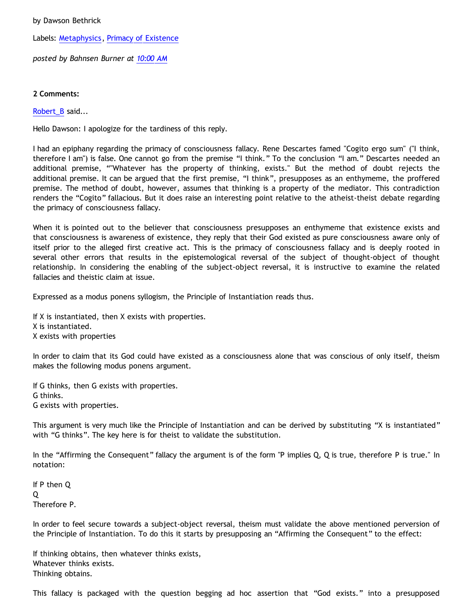by Dawson Bethrick

Labels: [Metaphysics,](http://bahnsenburner.blogspot.com/search/label/Metaphysics) [Primacy of Existence](http://bahnsenburner.blogspot.com/search/label/Primacy%20of%20Existence)

*posted by Bahnsen Burner at [10:00 AM](http://bahnsenburner.blogspot.com/2008/06/dodging-subject-object-relationship.html)*

## **2 Comments:**

Robert B said...

Hello Dawson: I apologize for the tardiness of this reply.

I had an epiphany regarding the primacy of consciousness fallacy. Rene Descartes famed "Cogito ergo sum" ("I think, therefore I am") is false. One cannot go from the premise "I think." To the conclusion "I am." Descartes needed an additional premise, ""Whatever has the property of thinking, exists." But the method of doubt rejects the additional premise. It can be argued that the first premise, "I think", presupposes as an enthymeme, the proffered premise. The method of doubt, however, assumes that thinking is a property of the mediator. This contradiction renders the "Cogito" fallacious. But it does raise an interesting point relative to the atheist-theist debate regarding the primacy of consciousness fallacy.

When it is pointed out to the believer that consciousness presupposes an enthymeme that existence exists and that consciousness is awareness of existence, they reply that their God existed as pure consciousness aware only of itself prior to the alleged first creative act. This is the primacy of consciousness fallacy and is deeply rooted in several other errors that results in the epistemological reversal of the subject of thought-object of thought relationship. In considering the enabling of the subject-object reversal, it is instructive to examine the related fallacies and theistic claim at issue.

Expressed as a modus ponens syllogism, the Principle of Instantiation reads thus.

If X is instantiated, then X exists with properties. X is instantiated. X exists with properties

In order to claim that its God could have existed as a consciousness alone that was conscious of only itself, theism makes the following modus ponens argument.

If G thinks, then G exists with properties. G thinks. G exists with properties.

This argument is very much like the Principle of Instantiation and can be derived by substituting "X is instantiated" with "G thinks". The key here is for theist to validate the substitution.

In the "Affirming the Consequent" fallacy the argument is of the form "P implies Q, Q is true, therefore P is true." In notation:

If P then Q Q Therefore P.

In order to feel secure towards a subject-object reversal, theism must validate the above mentioned perversion of the Principle of Instantiation. To do this it starts by presupposing an "Affirming the Consequent" to the effect:

If thinking obtains, then whatever thinks exists, Whatever thinks exists. Thinking obtains.

This fallacy is packaged with the question begging ad hoc assertion that "God exists." into a presupposed